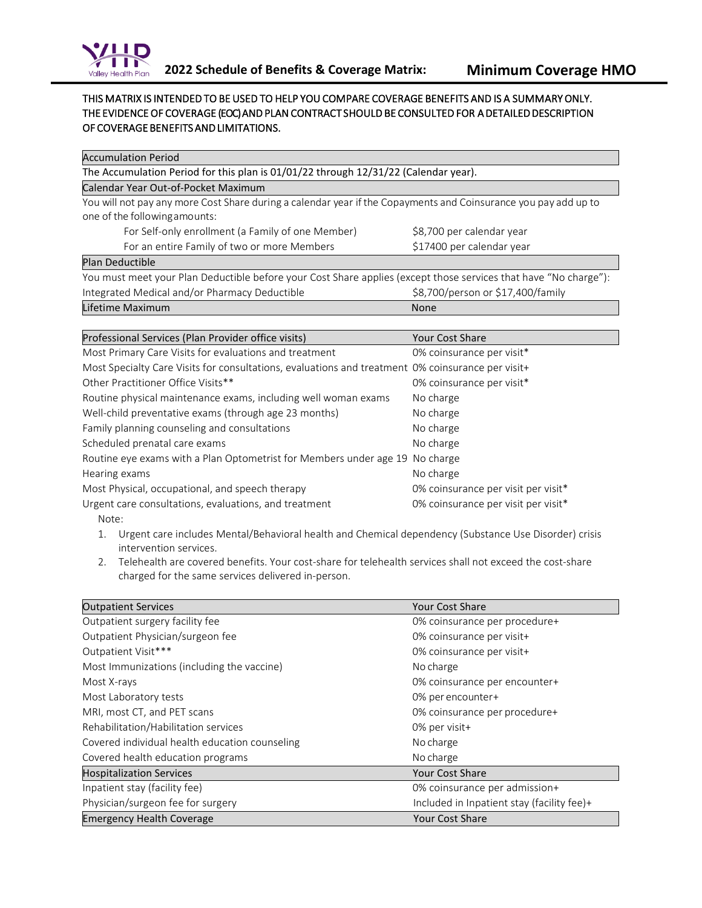

## THIS MATRIX IS INTENDED TO BE USED TO HELP YOU COMPARE COVERAGE BENEFITS AND IS A SUMMARY ONLY. THE EVIDENCE OF COVERAGE (EOC) AND PLAN CONTRACT SHOULD BE CONSULTED FOR A DETAILED DESCRIPTION OF COVERAGE BENEFITS AND LIMITATIONS.

| <b>Accumulation Period</b>                                                                                       |                                   |  |  |
|------------------------------------------------------------------------------------------------------------------|-----------------------------------|--|--|
| The Accumulation Period for this plan is 01/01/22 through 12/31/22 (Calendar year).                              |                                   |  |  |
| Calendar Year Out-of-Pocket Maximum                                                                              |                                   |  |  |
| You will not pay any more Cost Share during a calendar year if the Copayments and Coinsurance you pay add up to  |                                   |  |  |
| one of the following amounts:                                                                                    |                                   |  |  |
| For Self-only enrollment (a Family of one Member)                                                                | \$8,700 per calendar year         |  |  |
| For an entire Family of two or more Members                                                                      | \$17400 per calendar year         |  |  |
| Plan Deductible                                                                                                  |                                   |  |  |
| You must meet your Plan Deductible before your Cost Share applies (except those services that have "No charge"): |                                   |  |  |
| Integrated Medical and/or Pharmacy Deductible                                                                    | \$8,700/person or \$17,400/family |  |  |
| Lifetime Maximum                                                                                                 | None                              |  |  |
|                                                                                                                  |                                   |  |  |
| Professional Services (Plan Provider office visits)                                                              | <b>Your Cost Share</b>            |  |  |
| Most Primary Care Visits for evaluations and treatment                                                           | 0% coinsurance per visit*         |  |  |
|                                                                                                                  |                                   |  |  |

| Most Primary Care Visits for evaluations and treatment                                            | 0% coinsurance per visit*           |
|---------------------------------------------------------------------------------------------------|-------------------------------------|
| Most Specialty Care Visits for consultations, evaluations and treatment 0% coinsurance per visit+ |                                     |
| Other Practitioner Office Visits**                                                                | 0% coinsurance per visit*           |
| Routine physical maintenance exams, including well woman exams                                    | No charge                           |
| Well-child preventative exams (through age 23 months)                                             | No charge                           |
| Family planning counseling and consultations                                                      | No charge                           |
| Scheduled prenatal care exams                                                                     | No charge                           |
| Routine eye exams with a Plan Optometrist for Members under age 19 No charge                      |                                     |
| Hearing exams                                                                                     | No charge                           |
| Most Physical, occupational, and speech therapy                                                   | 0% coinsurance per visit per visit* |
| Urgent care consultations, evaluations, and treatment                                             | 0% coinsurance per visit per visit* |
| Note:                                                                                             |                                     |

- 1. Urgent care includes Mental/Behavioral health and Chemical dependency (Substance Use Disorder) crisis intervention services.
- 2. Telehealth are covered benefits. Your cost-share for telehealth services shall not exceed the cost-share charged for the same services delivered in-person.

| <b>Outpatient Services</b>                     | <b>Your Cost Share</b>                     |
|------------------------------------------------|--------------------------------------------|
| Outpatient surgery facility fee                | 0% coinsurance per procedure+              |
| Outpatient Physician/surgeon fee               | 0% coinsurance per visit+                  |
| Outpatient Visit***                            | 0% coinsurance per visit+                  |
| Most Immunizations (including the vaccine)     | No charge                                  |
| Most X-rays                                    | 0% coinsurance per encounter+              |
| Most Laboratory tests                          | 0% per encounter+                          |
| MRI, most CT, and PET scans                    | 0% coinsurance per procedure+              |
| Rehabilitation/Habilitation services           | 0% per visit+                              |
| Covered individual health education counseling | No charge                                  |
| Covered health education programs              | No charge                                  |
| <b>Hospitalization Services</b>                | <b>Your Cost Share</b>                     |
| Inpatient stay (facility fee)                  | 0% coinsurance per admission+              |
| Physician/surgeon fee for surgery              | Included in Inpatient stay (facility fee)+ |
| <b>Emergency Health Coverage</b>               | <b>Your Cost Share</b>                     |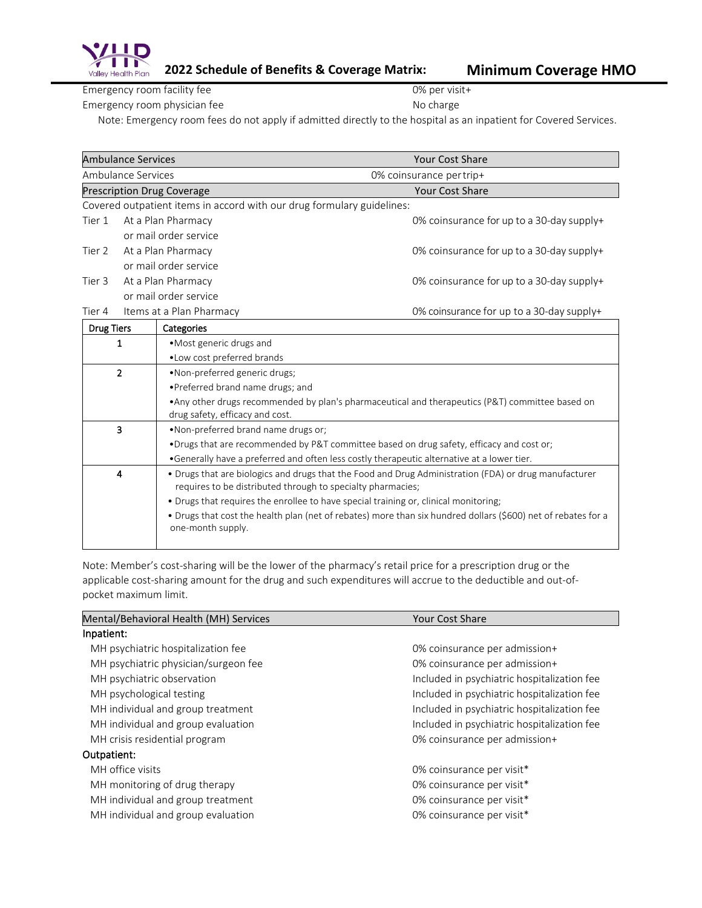

Emergency room facility fee 0% per visit+ Emergency room physician fee No charge No charge

Note: Emergency room fees do not apply if admitted directly to the hospital as an inpatient for Covered Services.

| <b>Ambulance Services</b><br><b>Your Cost Share</b> |                                                                                                                                    |                                                                                                                                     |                                           |  |
|-----------------------------------------------------|------------------------------------------------------------------------------------------------------------------------------------|-------------------------------------------------------------------------------------------------------------------------------------|-------------------------------------------|--|
|                                                     | Ambulance Services<br>0% coinsurance per trip+                                                                                     |                                                                                                                                     |                                           |  |
|                                                     |                                                                                                                                    | <b>Prescription Drug Coverage</b>                                                                                                   | <b>Your Cost Share</b>                    |  |
|                                                     |                                                                                                                                    | Covered outpatient items in accord with our drug formulary guidelines:                                                              |                                           |  |
| Tier 1                                              |                                                                                                                                    | At a Plan Pharmacy                                                                                                                  | 0% coinsurance for up to a 30-day supply+ |  |
|                                                     |                                                                                                                                    | or mail order service                                                                                                               |                                           |  |
| Tier 2                                              |                                                                                                                                    | At a Plan Pharmacy                                                                                                                  | 0% coinsurance for up to a 30-day supply+ |  |
|                                                     |                                                                                                                                    | or mail order service                                                                                                               |                                           |  |
| Tier 3                                              |                                                                                                                                    | At a Plan Pharmacy                                                                                                                  | 0% coinsurance for up to a 30-day supply+ |  |
|                                                     |                                                                                                                                    | or mail order service                                                                                                               |                                           |  |
| Tier 4                                              |                                                                                                                                    | Items at a Plan Pharmacy                                                                                                            | 0% coinsurance for up to a 30-day supply+ |  |
| <b>Drug Tiers</b>                                   |                                                                                                                                    | Categories                                                                                                                          |                                           |  |
|                                                     | 1                                                                                                                                  | • Most generic drugs and                                                                                                            |                                           |  |
|                                                     |                                                                                                                                    | . Low cost preferred brands                                                                                                         |                                           |  |
| $\overline{2}$<br>•Non-preferred generic drugs;     |                                                                                                                                    |                                                                                                                                     |                                           |  |
|                                                     |                                                                                                                                    | • Preferred brand name drugs; and                                                                                                   |                                           |  |
|                                                     |                                                                                                                                    | • Any other drugs recommended by plan's pharmaceutical and therapeutics (P&T) committee based on<br>drug safety, efficacy and cost. |                                           |  |
|                                                     | 3                                                                                                                                  | . Non-preferred brand name drugs or;                                                                                                |                                           |  |
|                                                     |                                                                                                                                    | . Drugs that are recommended by P&T committee based on drug safety, efficacy and cost or;                                           |                                           |  |
|                                                     |                                                                                                                                    | •Generally have a preferred and often less costly therapeutic alternative at a lower tier.                                          |                                           |  |
|                                                     | 4                                                                                                                                  | . Drugs that are biologics and drugs that the Food and Drug Administration (FDA) or drug manufacturer                               |                                           |  |
|                                                     |                                                                                                                                    | requires to be distributed through to specialty pharmacies;                                                                         |                                           |  |
|                                                     |                                                                                                                                    | • Drugs that requires the enrollee to have special training or, clinical monitoring;                                                |                                           |  |
|                                                     | • Drugs that cost the health plan (net of rebates) more than six hundred dollars (\$600) net of rebates for a<br>one-month supply. |                                                                                                                                     |                                           |  |

Note: Member's cost-sharing will be the lower of the pharmacy's retail price for a prescription drug or the applicable cost-sharing amount for the drug and such expenditures will accrue to the deductible and out-ofpocket maximum limit.

| Mental/Behavioral Health (MH) Services | <b>Your Cost Share</b>                      |
|----------------------------------------|---------------------------------------------|
| Inpatient:                             |                                             |
| MH psychiatric hospitalization fee     | 0% coinsurance per admission+               |
| MH psychiatric physician/surgeon fee   | 0% coinsurance per admission+               |
| MH psychiatric observation             | Included in psychiatric hospitalization fee |
| MH psychological testing               | Included in psychiatric hospitalization fee |
| MH individual and group treatment      | Included in psychiatric hospitalization fee |
| MH individual and group evaluation     | Included in psychiatric hospitalization fee |
| MH crisis residential program          | 0% coinsurance per admission+               |
| Outpatient:                            |                                             |
| MH office visits                       | 0% coinsurance per visit*                   |
| MH monitoring of drug therapy          | 0% coinsurance per visit*                   |
| MH individual and group treatment      | 0% coinsurance per visit*                   |
| MH individual and group evaluation     | 0% coinsurance per visit*                   |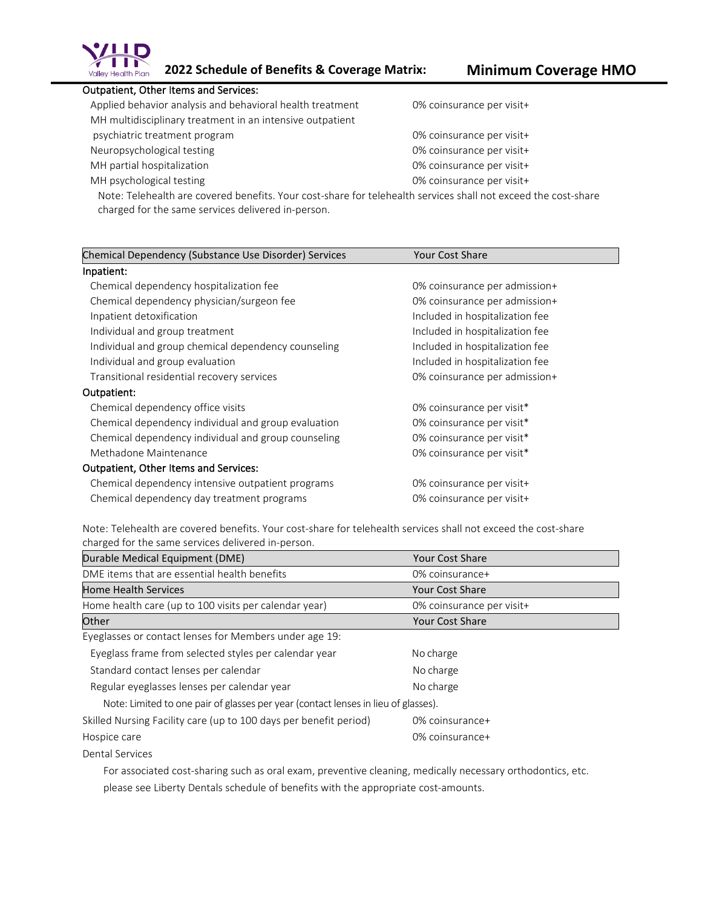

## Outpatient, Other Items and Services:

| Applied behavior analysis and behavioral health treatment | 0% coinsurance per visit+ |
|-----------------------------------------------------------|---------------------------|
| MH multidisciplinary treatment in an intensive outpatient |                           |
| psychiatric treatment program                             | 0% coinsurance per visit+ |
| Neuropsychological testing                                | 0% coinsurance per visit+ |
| MH partial hospitalization                                | 0% coinsurance per visit+ |
| MH psychological testing                                  | 0% coinsurance per visit+ |

Note: Telehealth are covered benefits. Your cost-share for telehealth services shall not exceed the cost-share charged for the same services delivered in-person.

| Chemical Dependency (Substance Use Disorder) Services | <b>Your Cost Share</b>          |  |
|-------------------------------------------------------|---------------------------------|--|
| Inpatient:                                            |                                 |  |
| Chemical dependency hospitalization fee               | 0% coinsurance per admission+   |  |
| Chemical dependency physician/surgeon fee             | 0% coinsurance per admission+   |  |
| Inpatient detoxification                              | Included in hospitalization fee |  |
| Individual and group treatment                        | Included in hospitalization fee |  |
| Individual and group chemical dependency counseling   | Included in hospitalization fee |  |
| Individual and group evaluation                       | Included in hospitalization fee |  |
| Transitional residential recovery services            | 0% coinsurance per admission+   |  |
| Outpatient:                                           |                                 |  |
| Chemical dependency office visits                     | 0% coinsurance per visit*       |  |
| Chemical dependency individual and group evaluation   | 0% coinsurance per visit*       |  |
| Chemical dependency individual and group counseling   | 0% coinsurance per visit*       |  |
| Methadone Maintenance                                 | 0% coinsurance per visit*       |  |
| <b>Outpatient, Other Items and Services:</b>          |                                 |  |
| Chemical dependency intensive outpatient programs     | 0% coinsurance per visit+       |  |
| Chemical dependency day treatment programs            | 0% coinsurance per visit+       |  |

Note: Telehealth are covered benefits. Your cost-share for telehealth services shall not exceed the cost-share charged for the same services delivered in-person.

| Durable Medical Equipment (DME)                                                    | <b>Your Cost Share</b>    |
|------------------------------------------------------------------------------------|---------------------------|
| DME items that are essential health benefits                                       | 0% coinsurance+           |
| <b>Home Health Services</b>                                                        | <b>Your Cost Share</b>    |
| Home health care (up to 100 visits per calendar year)                              | 0% coinsurance per visit+ |
| Other                                                                              | <b>Your Cost Share</b>    |
| Eyeglasses or contact lenses for Members under age 19:                             |                           |
| Eyeglass frame from selected styles per calendar year                              | No charge                 |
| Standard contact lenses per calendar                                               | No charge                 |
| Regular eyeglasses lenses per calendar year                                        | No charge                 |
| Note: Limited to one pair of glasses per year (contact lenses in lieu of glasses). |                           |
| Skilled Nursing Facility care (up to 100 days per benefit period)                  | 0% coinsurance+           |
| Hospice care                                                                       | $0\%$ coinsurance+        |
| Dental Services                                                                    |                           |

 For associated cost-sharing such as oral exam, preventive cleaning, medically necessary orthodontics, etc. please see Liberty Dentals schedule of benefits with the appropriate cost-amounts.